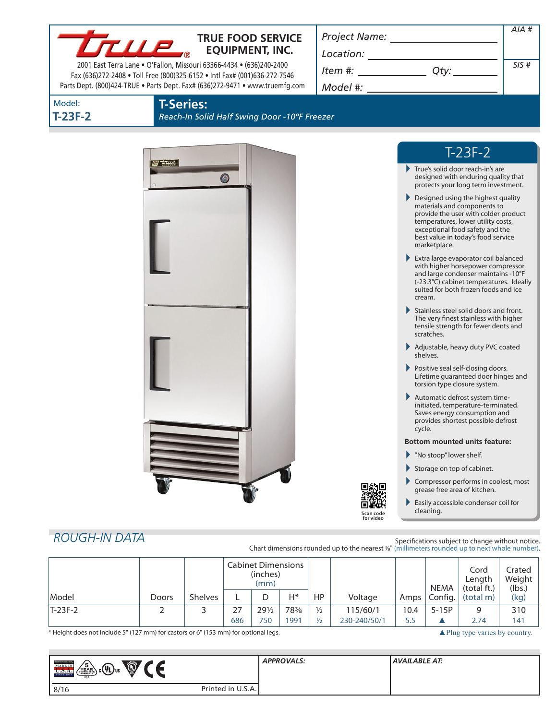| <b>TRUE FOOD SERVICE</b>                                                  | Project Name: |  |  |
|---------------------------------------------------------------------------|---------------|--|--|
| <b>EQUIPMENT, INC.</b>                                                    | Location:     |  |  |
| 2001 East Terra Lane . O'Fallon, Missouri 63366-4434 . (636)240-2400      | Item #:       |  |  |
| Fax (636)272-2408 . Toll Free (800)325-6152 . Intl Fax# (001)636-272-7546 |               |  |  |

| <i>Project Ivame:</i> |      |      |
|-----------------------|------|------|
| Location:             |      |      |
| ltem #:               | Otv: | SIS# |

*AIA #*

# Model: **T-23F-2**

# **T-Series:**

Parts Dept. (800)424-TRUE • Parts Dept. Fax# (636)272-9471 • www.truemfg.com

*Reach-In Solid Half Swing Door -10ºF Freezer*

*Model #:*



# T-23F-2

- True's solid door reach-in's are designed with enduring quality that protects your long term investment.
- **Designed using the highest quality** materials and components to provide the user with colder product temperatures, lower utility costs, exceptional food safety and the best value in today's food service marketplace.
- Extra large evaporator coil balanced with higher horsepower compressor and large condenser maintains -10°F (-23.3°C) cabinet temperatures. Ideally suited for both frozen foods and ice cream.
- Stainless steel solid doors and front. The very finest stainless with higher tensile strength for fewer dents and scratches.
- Adjustable, heavy duty PVC coated shelves.
- Positive seal self-closing doors. Lifetime guaranteed door hinges and torsion type closure system.
- Automatic defrost system timeinitiated, temperature-terminated. Saves energy consumption and provides shortest possible defrost cycle.

#### **Bottom mounted units feature:**

- "No stoop" lower shelf.
- Storage on top of cabinet.
- Compressor performs in coolest, most grease free area of kitchen.
- Easily accessible condenser coil for cleaning.

# *ROUGH-IN DATA*

Specifications subject to change without notice. Chart dimensions rounded up to the nearest %" (millimeters rounded up to next whole number).

|           |              |                | <b>Cabinet Dimensions</b><br>(inches)<br>(mm) |                 |       |               |              | NEMA | Cord<br>Length<br>(total ft.) | Crated<br>Weight<br>(lbs.) |      |
|-----------|--------------|----------------|-----------------------------------------------|-----------------|-------|---------------|--------------|------|-------------------------------|----------------------------|------|
| Model     | <b>Doors</b> | <b>Shelves</b> |                                               |                 | $H^*$ | HP            | Voltage      | Amps | Config.                       | (total m)                  | (kg) |
| $T-23F-2$ |              |                | $\lnot$<br>2                                  | $29\frac{1}{2}$ | 78%   | $\frac{1}{2}$ | 115/60/1     | 10.4 | $5-15P$                       |                            | 310  |
|           |              |                | 686                                           | 750             | 991   | $\frac{1}{2}$ | 230-240/50/1 | 5.5  |                               | 2.74                       | 141  |

\* Height does not include 5" (127 mm) for castors or 6" (153 mm) for optional legs. ▲Plug type varies by country.

| <b>TRIK REFERENCE</b><br><b>CONTENT</b><br>◥◢<br>յշ@տա`<br>MADE IN<br>YEAR<br><b>U.D.A.</b><br>USA |                   | <b>APPROVALS:</b> | AVAILABLE AT: |
|----------------------------------------------------------------------------------------------------|-------------------|-------------------|---------------|
| 8/16                                                                                               | Printed in U.S.A. |                   |               |